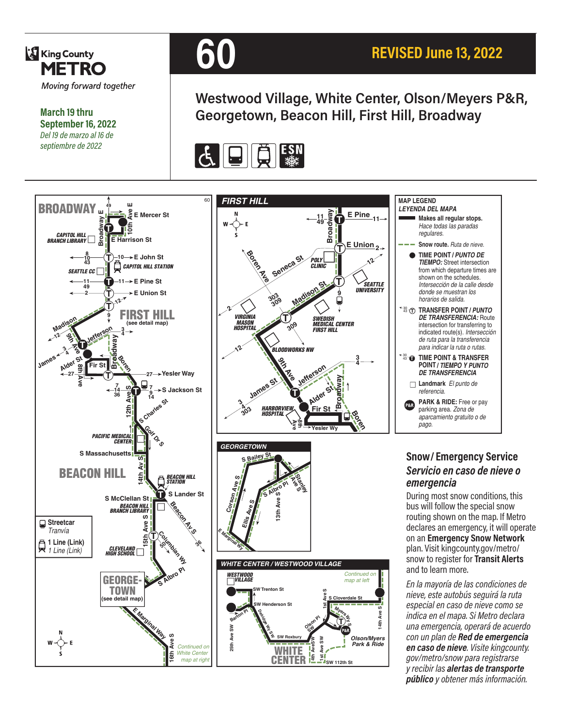

**March 19 thru September 16, 2022** *Del 19 de marzo al 16 de septiembre de 2022*



**Westwood Village, White Center, Olson/Meyers P&R, Georgetown, Beacon Hill, First Hill, Broadway**



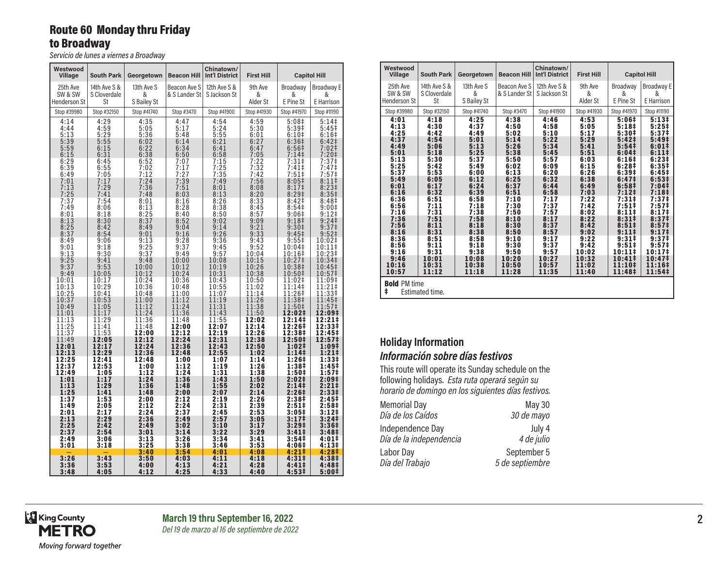## Route 60 Monday thru Friday to Broadway

*Servicio de lunes a viernes a Broadway*

| Westwood<br>Village     | <b>South Park</b>  | Georgetown       | <b>Beacon Hill</b> | Chinatown/<br><b>Int'l District</b> | <b>First Hill</b> |                                        | <b>Capitol Hill</b>          |
|-------------------------|--------------------|------------------|--------------------|-------------------------------------|-------------------|----------------------------------------|------------------------------|
| 25th Ave                | 14th Ave S &       | 13th Ave S       | Beacon Ave S       | 12th Ave S &                        | 9th Ave           | Broadway                               | <b>Broadway E</b>            |
| SW & SW<br>Henderson St | S Cloverdale<br>St | &<br>S Bailey St | & S Lander St      | S Jackson St                        | &                 | &<br>E Pine St                         | &<br>E Harrison              |
|                         |                    |                  |                    |                                     | Alder St          |                                        |                              |
| Stop #39980             | Stop #32150        | Stop #41740      | Stop #3470         | Stop #41900                         | Stop #41930       | Stop #41970                            | Stop #11190                  |
| 4:14<br>4:44            | 4:29<br>4:59       | 4:35<br>5:05     | 4:47<br>5:17       | 4:54<br>5:24                        | 4:59<br>5:30      | 5:08 <sup>‡</sup><br>5:39#             | 5:14<br>$5:45+$              |
| 5:13                    | 5:29               | 5:36             | 5:48               | 5:55                                | 6:01              | $6:10+$                                | 6:16#                        |
| 5:39<br>5:59            | 5:55<br>6:15       | 6:02<br>6:22     | 6:14<br>6:34       | 6:21<br>6:41                        | 6:27<br>6:47      | $6:36‡$<br>6:56‡                       | 6:42‡<br>7:02‡               |
| 6:15                    | 6:31               | 6:38             | 6:50               | 6:58                                | 7:05              | 7:14                                   | 7:20‡                        |
| 6:29                    | 6:45               | 6:52             | 7:07               | 7:15                                | 7:22              | 7:31                                   | 7:37 <sup>‡</sup>            |
| 6:39<br>6:49            | 6:55<br>7:05       | 7:02<br>7:12     | 7:17<br>7:27       | 7:25                                | 7:32<br>7:42      | 7:41<br>7:51                           | 7:47 <sup>‡</sup><br>7:57‡   |
| 7:01                    | 7:17               | 7:24             | 7:39               | 7:35<br>7:49                        | 7:56              | 8:05 <sup>‡</sup>                      | $8:11$ ‡                     |
| 7:13                    | 7:29               | 7:36             | 7:51               | 8:01                                | 8:08              | 8:17 <sup>‡</sup>                      | $8:23\ddagger$               |
| 7:25<br>7:37            | 7:41<br>7:54       | 7:48<br>8:01     | 8:03<br>8:16       | 8:13<br>8:26                        | 8:20<br>8:33      | $8:29+$<br>8:42 <sup>‡</sup>           | $8:35+$<br>8:48 <sup>‡</sup> |
| 7:49                    | 8:06               | 8:13             | 8:28               | 8:38                                | 8:45              | 8:54 <sup>‡</sup>                      | $9:00^{\ddagger}$            |
| 8:01                    | 8:18               | 8:25             | 8:40               | 8:50                                | 8:57              | 9:06#                                  | $9:12$ ‡                     |
| 8:13<br>8:25            | 8:30<br>8:42       | 8:37<br>8:49     | 8:52               | 9:02                                | 9:09<br>9:21      | 9:18 <sup>‡</sup>                      | 9:24<br>9:37 <sup>‡</sup>    |
| 8:37                    | 8:54               | 9:01             | 9:04<br>9:16       | 9:14<br>9:26                        | 9:33              | 9:30 <sup>‡</sup><br>9:45 <sup>‡</sup> | 9:52 <sup>‡</sup>            |
| 8:49                    | 9:06               | 9:13             | 9:28               | 9:36                                | 9:43              | $9:55^{\ddagger}$                      | 10:02‡                       |
| 9:01                    | 9:18               | 9:25             | 9:37               | 9:45                                | 9:52              | 10:04‡                                 | 10:11‡                       |
| 9:13<br>9:25            | 9:30<br>9:41       | 9:37<br>9:48     | 9:49<br>10:00      | 9:57<br>10:08                       | 10:04<br>10:15    | 10:16‡<br>10:27‡                       | 10:23‡<br>10:34‡             |
| 9:37                    | 9:53               | 10:00            | 10:12              | 10:19                               | 10:26             | 10:38‡                                 | 10:45‡                       |
| 9:49                    | 10:05              | 10:12            | 10:24              | 10:31                               | 10:38             | 10:50‡                                 | 10:57‡                       |
| 10:01<br>10:13          | 10:17<br>10:29     | 10:24<br>10:36   | 10:36<br>10:48     | 10:43<br>10:55                      | 10:50<br>11:02    | 11:02‡<br>11:14‡                       | 11:09‡<br>11:21‡             |
| 10:25                   | 10:41              | 10:48            | 11:00              | 11:07                               | 11:14             | 11:26‡                                 | 11:33‡                       |
| 10:37                   | 10:53              | 11:00            | 11:12              | 11:19                               | 11:26             | 11:38‡                                 | 11:45‡                       |
| 10:49<br>11:01          | 11:05<br>11:17     | 11:12<br>11:24   | 11:24<br>11:36     | 11:31<br>11:43                      | 11:38<br>11:50    | 11:50‡<br>12:02‡                       | 11:57‡<br>12:09‡             |
| 11:13                   | 11:29              | 11:36            | 11:48              | 11:55                               | 12:02             | 12:14‡                                 | 12:21‡                       |
| 11:25                   | 11:41              | 11:48            | 12:00              | 12:07                               | 12:14             | 12:26‡                                 | 12:33‡                       |
| 11:37<br>11:49          | 11:53<br>12:05     | 12:00<br>12:12   | 12:12<br>12:24     | 12:19<br>12:31                      | 12:26<br>12:38    | 12:38‡<br>12:50‡                       | 12:45‡<br>12:57‡             |
| 12:01                   | 12:17              | 12:24            | 12:36              | 12:43                               | 12:50             | 1:02‡                                  | 1:09‡                        |
| 12:13                   | 12:29              | 12:36            | 12:48              | 12:55                               | 1:02              | 1:141                                  | $1:21 \;$                    |
| 12:25<br>12:37          | 12:41<br>12:53     | 12:48<br>1:00    | 1:00<br>1:12       | 1:07<br>1:19                        | 1:14<br>1:26      | 1:26 <sup>‡</sup><br>1:38‡             | 1:33‡<br>1:45‡               |
| 12:49                   | 1:05               | 1:12             | 1:24               | 1:31                                | 1:38              | 1:50‡                                  | 1:57‡                        |
| 1:01                    | 1:17               | 1:24             | 1:36               | 1:43                                | 1:50              | 2:02‡                                  | 2:09‡                        |
| 1:13<br>1:25            | 1:29<br>1:41       | 1:36<br>1:48     | 1:48<br>2:00       | 1:55<br>2:07                        | 2:02<br>2:14      | 2:14 <sup>‡</sup><br>2:26‡             | 2:21‡<br>2:33‡               |
| 1:37                    | 1:53               | 2:00             | 2:12               | 2:19                                | 2:26              | 2:38‡                                  | 2:45‡                        |
| 1:49                    | 2:05               | 2:12             | 2:24               | 2:31                                | 2:39              | 2:51‡                                  | 2:58‡                        |
| 2:01<br>2:13            | 2:17<br>2:29       | 2:24<br>2:36     | 2:37<br>2:49       | 2:45<br>2:57                        | 2:53<br>3:05      | 3:05#<br>3:17 <sup>‡</sup>             | 3:12‡<br>3:24‡               |
| 2:25                    | 2:42               | 2:49             | 3:02               | 3:10                                | 3:17              | 3:29 <sup>‡</sup>                      | 3:36‡                        |
| 2:37                    | 2:54               | 3:01             | 3:14               | 3:22                                | 3:29              | 3:41 <sup>‡</sup>                      | 3:48‡                        |
| 2:49<br>3:01            | 3:06<br>3:18       | 3:13<br>3:25     | 3:26<br>3:38       | 3:34<br>3:46                        | 3:41<br>3:53      | 3:54‡<br>4:06‡                         | 4:01‡<br>4:13‡               |
|                         |                    | 3:40             | 3:54               | 4:01                                | 4:08              | 4:21#                                  | 4:28‡                        |
| 3:26                    | 3:43               | 3:50             | 4:03               | 4:11                                | 4:18              | 4:31#                                  | 4:38‡                        |
| 3:36<br>3:48            | 3:53<br>4:05       | 4:00<br>4:12     | 4:13<br>4:25       | 4:21<br>4:33                        | 4:28<br>4:40      | 4:411<br>4:53‡                         | 4:48‡<br>5:00‡               |

| Westwood<br>Village                                                                                                                                                                            | <b>South Park</b>                                                                                                                                                                               | Georgetown                                                                                                                                                                                      | <b>Beacon Hill</b>                                                                                                                                                                              | Chinatown/<br><b>Int'l District</b>                                                                                                                                                             | <b>First Hill</b>                                                                                                                                                                                |                                                                                                                                                                                                                                                                                                                                       | <b>Capitol Hill</b>                                                                                                                                                                                                                                                                                                                                                            |
|------------------------------------------------------------------------------------------------------------------------------------------------------------------------------------------------|-------------------------------------------------------------------------------------------------------------------------------------------------------------------------------------------------|-------------------------------------------------------------------------------------------------------------------------------------------------------------------------------------------------|-------------------------------------------------------------------------------------------------------------------------------------------------------------------------------------------------|-------------------------------------------------------------------------------------------------------------------------------------------------------------------------------------------------|--------------------------------------------------------------------------------------------------------------------------------------------------------------------------------------------------|---------------------------------------------------------------------------------------------------------------------------------------------------------------------------------------------------------------------------------------------------------------------------------------------------------------------------------------|--------------------------------------------------------------------------------------------------------------------------------------------------------------------------------------------------------------------------------------------------------------------------------------------------------------------------------------------------------------------------------|
| 25th Ave<br>SW & SW<br><b>Henderson St</b>                                                                                                                                                     | 14th Ave S &<br>S Cloverdale<br>St                                                                                                                                                              | 13th Ave S<br>&<br>S Bailey St                                                                                                                                                                  | Beacon Ave S<br>& S Lander St                                                                                                                                                                   | 12th Ave S &<br>S Jackson St                                                                                                                                                                    | 9th Ave<br>&<br>Alder St                                                                                                                                                                         | Broadway<br>&<br>E Pine St                                                                                                                                                                                                                                                                                                            | Broadway E<br>&<br>E Harrison                                                                                                                                                                                                                                                                                                                                                  |
| Stop #39980                                                                                                                                                                                    | Stop #32150                                                                                                                                                                                     | Stop #41740                                                                                                                                                                                     | Stop #3470                                                                                                                                                                                      | Stop #41900                                                                                                                                                                                     | Stop #41930                                                                                                                                                                                      | Stop #41970                                                                                                                                                                                                                                                                                                                           | Stop #11190                                                                                                                                                                                                                                                                                                                                                                    |
| 4:01<br>4:13<br>4:25<br>4:37<br>4:49<br>5:01<br>5:13<br>5:25<br>5:37<br>5:49<br>6:01<br>6:16<br>6:36<br>6:56<br>7:16<br>7:36<br>7:56<br>8:16<br>8:36<br>8:56<br>9:16<br>9:46<br>10:16<br>10:57 | 4:18<br>4:30<br>4:42<br>4:54<br>5:06<br>5:18<br>5:30<br>5:42<br>5:53<br>6:05<br>6:17<br>6:32<br>6:51<br>7:11<br>7:31<br>7:51<br>8:11<br>8:31<br>8:51<br>9:11<br>9:31<br>10:01<br>10:31<br>11:12 | 4:25<br>4:37<br>4:49<br>5:01<br>5:13<br>5:25<br>5:37<br>5:49<br>6:00<br>6:12<br>6:24<br>6:39<br>6:58<br>7:18<br>7:38<br>7:58<br>8:18<br>8:38<br>8:58<br>9:18<br>9:38<br>10:08<br>10:38<br>11:18 | 4:38<br>4:50<br>5:02<br>5:14<br>5:26<br>5:38<br>5:50<br>6:02<br>6:13<br>6:25<br>6:37<br>6:51<br>7:10<br>7:30<br>7:50<br>8:10<br>8:30<br>8:50<br>9:10<br>9:30<br>9:50<br>10:20<br>10:50<br>11:28 | 4:46<br>4:58<br>5:10<br>5:22<br>5:34<br>5:45<br>5:57<br>6:09<br>6:20<br>6:32<br>6:44<br>6:58<br>7:17<br>7:37<br>7:57<br>8:17<br>8:37<br>8:57<br>9:17<br>9:37<br>9:57<br>10:27<br>10:57<br>11:35 | 4:53<br>5:05<br>5:17<br>5:29<br>5:41<br>5:51<br>6:03<br>6:15<br>6:26<br>6:38<br>6:49<br>7:03<br>7:22<br>7:42<br>8:02<br>8:22<br>8:42<br>9:02<br>9:22<br>9:42<br>10:02<br>10:32<br>11:02<br>11:40 | 5:06#<br>5:18 <sup>‡</sup><br>5:30#<br>5:42 <sup>‡</sup><br>5:54 <sup>‡</sup><br>6:04 <sup>‡</sup><br>6:16#<br>6:28‡<br>6:39#<br>6:47 <sup>‡</sup><br>6:58 <sup>‡</sup><br>7:12 <sup>‡</sup><br>7:31#<br>7:51#<br>8:11#<br>8:31#<br>$8:51\ddagger$<br>9:111<br>9:31#<br>$9:51$ <sup>‡</sup><br>$10:11*$<br>10:41‡<br>11:10‡<br>11:48‡ | 5:13#<br>$5:25+$<br>5:37 <sup>‡</sup><br>5:49 <sup>‡</sup><br>$6:01*$<br>6:111<br>6:23#<br>6:35‡<br>6:45#<br>6:53#<br>7:04 <sup>‡</sup><br>7:18 <sup>‡</sup><br>7:37 <sup>‡</sup><br>7:57 <sup>‡</sup><br>8:17 <sup>‡</sup><br>8:37 <sup>‡</sup><br>8:57 <sup>‡</sup><br>9:17 <sup>‡</sup><br>9:37 <sup>‡</sup><br>9:57 <sup>‡</sup><br>10:17#<br>10:47‡<br>$11:16+$<br>11:54‡ |
| <b>Bold PM time</b><br>ŧ                                                                                                                                                                       | Estimated time.                                                                                                                                                                                 |                                                                                                                                                                                                 |                                                                                                                                                                                                 |                                                                                                                                                                                                 |                                                                                                                                                                                                  |                                                                                                                                                                                                                                                                                                                                       |                                                                                                                                                                                                                                                                                                                                                                                |

## **Holiday Information** *Información sobre días festivos*

This route will operate its Sunday schedule on the following holidays. *Esta ruta operará según su horario de domingo en los siguientes días festivos.*

| <b>Memorial Day</b>     | May 30          |
|-------------------------|-----------------|
| Día de los Caídos       | 30 de mayo      |
| Independence Day        | July 4          |
| Día de la independencia | 4 de julio      |
| Labor Day               | September 5     |
| Día del Trabajo         | 5 de septiembre |

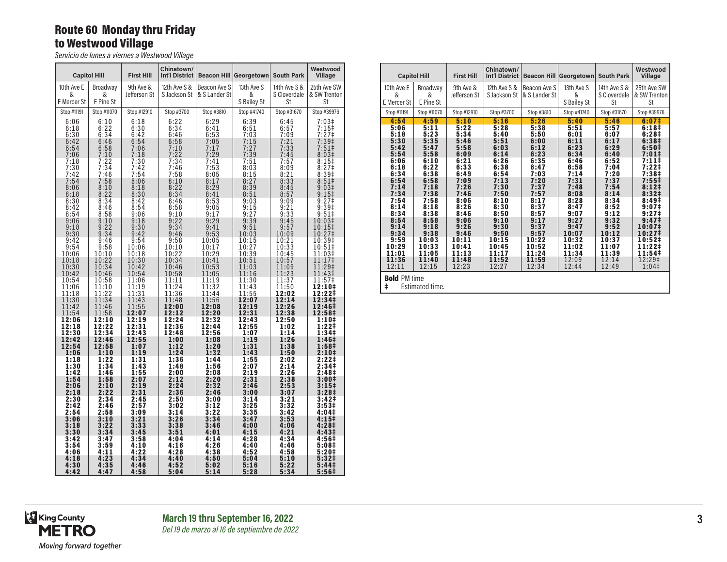## Route 60 Monday thru Friday to Westwood Village

*Servicio de lunes a viernes a Westwood Village*

|                 | <b>Capitol Hill</b>      | <b>First Hill</b>         | Chinatown/<br>Int'l District |                               | <b>Beacon Hill Georgetown</b> | <b>South Park</b>            | Westwood<br><b>Village</b>             |
|-----------------|--------------------------|---------------------------|------------------------------|-------------------------------|-------------------------------|------------------------------|----------------------------------------|
| 10th Ave E<br>& | Broadway<br>&            | 9th Ave &<br>Jefferson St | 12th Ave S &<br>S Jackson St | Beacon Ave S<br>& S Lander St | 13th Ave S<br>&               | 14th Ave S &<br>S Cloverdale | 25th Ave SW<br>& SW Trenton            |
| E Mercer St     | E Pine St                |                           |                              |                               | S Bailey St                   | St                           | St                                     |
| Stop #11191     | Stop #11070              | Stop #12910               | Stop #3700                   | Stop #3810                    | Stop #41740                   | Stop #31670                  | Stop #39976                            |
| 6:06<br>6:18    | 6:10<br>6:22             | 6:18<br>6:30              | 6:22<br>6:34                 | 6:29<br>6:41                  | 6:39<br>6:51                  | 6:45<br>6:57                 | 7:03#<br>$7:15+$                       |
| 6:30            | 6:34                     | 6:42                      | 6:46                         | 6:53                          | 7:03<br>7:15                  | 7:09<br>7:21                 | $7:27$ ‡                               |
| 6:42<br>6:54    | 6:46<br>$6:58$<br>$7:10$ | 6:54<br>7:06              | 6:58<br>7:10                 | 7:05<br>7:17                  | 7:27                          | 7:33                         | 7:39‡<br>$7:51$ <sup>‡</sup>           |
| 7:06<br>7:18    | 7:22                     | 7:18<br>7:30              | 7:22<br>7:34                 | 7:29<br>7:41                  | 7:39<br>7:51                  | 7:45<br>7:57                 | 8:03#<br>$8:15+$                       |
| 7:30            | 7:34                     | 7:42                      | 7:46                         | 7:53                          | 8:03                          | 8:09                         | 8:27 <sup>‡</sup>                      |
| 7:42            | 7:46                     | 7:54                      | 7:58                         | 8:05                          | 8:15                          | 8:21                         | 8:39‡                                  |
| 7:54<br>8:06    | 7:58<br>8:10             | 8:06<br>8:18              | 8:10<br>8:22                 | 8:17<br>8:29                  | 8:27<br>8:39                  | 8:33<br>8:45                 | 8:51<br>9:03‡                          |
| 8:18            | 8:22                     | 8:30                      | 8:34                         | 8:41                          | 8:51                          | 8:57                         | $9:15+$                                |
| 8:30            | 8:34<br>8:46             | 8:42<br>8:54              | 8:46                         | 8:53<br>9:05                  | 9:03                          | 9:09<br>9:21                 | 9:27‡                                  |
| 8:42<br>8:54    | 8:58                     | 9:06                      | 8:58<br>9:10                 | 9:17                          | 9:15<br>9:27                  | 9:33                         | 9:39‡<br>$9:51$ ‡                      |
| 9:06            | 9:10                     | 9:18                      | 9:22                         | 9:29                          | 9:39                          | 9:45                         | 10:03‡                                 |
| 9:18<br>9:30    | 9:22<br>9:34             | 9:30<br>9:42              | 9:34<br>9:46                 | 9:41<br>9:53                  | 9:51<br>10:03                 | 9:57<br>10:09                | 10:15‡<br>10:27‡                       |
| 9:42            | 9:46                     | 9:54                      | 9:58                         | 10:05                         | 10:15                         | 10:21                        | 10:39‡                                 |
| 9:54            | 9:58                     | 10:06                     | 10:10                        | 10:17                         | 10:27                         | 10:33                        | 10:51‡                                 |
| 10:06<br>10:18  | 10:10<br>10:22           | 10:18<br>10:30            | 10:22<br>10:34               | 10:29<br>10:41                | 10:39<br>10:51                | 10:45<br>10:57               | 11:03‡<br>11:17‡                       |
| 10:30           | 10:34                    | 10:42                     | 10:46                        | 10:53                         | 11:03                         | 11:09                        | 11:29‡                                 |
| 10:42           | 10:46                    | 10:54                     | 10:58                        | 11:05                         | 11:16                         | 11:23                        | 11:43‡                                 |
| 10:54<br>11:06  | 10:58<br>11:10           | 11:06<br>11:19            | 11:11<br>11:24               | 11:19<br>11:32                | 11:30<br>11:43                | 11:37<br>11:50               | 11:57‡<br>12:10‡                       |
| 11:18           | 11:22                    | 11:31                     | 11:36                        | 11:44                         | 11:55                         | 12:02                        | 12:22‡                                 |
| 11:30<br>11:42  | 11:34<br>11:46           | 11:43<br>11:55            | 11:48<br>12:00               | 11:56<br>12:08                | 12:07<br>12:19                | 12:14<br>12:26               | 12:34‡<br>12:46‡                       |
| 11:54           | 11:58                    | 12:07                     | 12:12                        | 12:20                         | 12:31                         | 12:38                        | 12:58‡                                 |
| 12:06           | 12:10                    | 12:19                     | 12:24                        | 12:32                         | 12:43                         | 12:50                        | 1:10‡                                  |
| 12:18<br>12:30  | 12:22<br>12:34           | 12:31<br>12:43            | 12:36<br>12:48               | 12:44<br>12:56                | 12:55<br>1:07                 | 1:02<br>1:14                 | 1:22‡<br>1:34‡                         |
| 12:42           | 12:46                    | 12:55                     | 1:00                         | 1:08                          | 1:19                          | 1:26                         | 1:46‡                                  |
| 12:54<br>1:06   | 12:58<br>1:10            | 1:07<br>1:19              | 1:12<br>1:24                 | 1:20<br>1:32                  | 1:31<br>1:43                  | 1:38<br>1:50                 | 1:58‡<br>2:10‡                         |
| 1:18            | 1:22                     | 1:31                      | 1:36                         | 1:44                          | 1:55                          | 2:02                         | 2:221                                  |
| 1:30            | 1:34                     | 1:43                      | 1:48                         | 1:56                          | 2:07                          | 2:14                         | 2:34 <sup>‡</sup>                      |
| 1:42<br>1:54    | 1:46<br>1:58             | 1:55<br>2:07              | 2:00<br>2:12                 | 2:08<br>2:20                  | 2:19<br>2:31                  | 2:26<br>2:38                 | 2:48 <sup>‡</sup><br>3:00‡             |
| 2:06            | 2:10                     | 2:19                      | 2:24                         | 2:32                          | 2:46                          | 2:53                         | 3:15 <sup>‡</sup>                      |
| 2:18<br>2:30    | 2:22<br>2:34             | 2:31<br>2:45              | 2:36<br>2:50                 | 2:46<br>3:00                  | 3:00<br>3:14                  | 3:07<br>3:21                 | 3:28 <sup>‡</sup><br>3:42‡             |
| 2:42            | 2:46                     | 2:57                      | 3:02                         | 3:12                          | 3:25                          | 3:32                         | 3:53 <sup>‡</sup>                      |
| 2:54            | 2:58                     | 3:09                      | 3:14                         | 3:22                          | 3:35                          | 3:42                         | 4:04‡                                  |
| 3:06<br>3:18    | 3:10<br>3:22             | 3:21<br>3:33              | 3:26<br>3:38                 | 3:34<br>3:46                  | 3:47<br>4:00                  | 3:53<br>4:06                 | 4:15‡<br>4:28‡                         |
| 3:30            | 3:34                     | 3:45                      | 3:51                         | 4:01                          | 4:15                          | 4:21                         | 4:43‡                                  |
| 3:42            | 3:47                     | 3:58                      | 4:04                         | 4:14                          | 4:28                          | 4:34                         | 4:56‡                                  |
| 3:54<br>4:06    | 3:59<br>4:11             | 4:10<br>4:22              | 4:16<br>4:28                 | 4:26<br>4:38                  | 4:40<br>4:52                  | 4:46<br>4:58                 | 5:08‡<br>5:20‡                         |
| 4:18            | 4:23                     | 4:34                      | 4:40                         | 4:50                          | 5:04                          | 5:10                         | 5:32‡                                  |
| 4:30<br>4:42    | 4:35<br>4:47             | 4:46<br>4:58              | 4:52<br>5:04                 | 5:02<br>5:14                  | 5:16<br>5:28                  | 5:22<br>5:34                 | 5:44 <sup>‡</sup><br>5:56 <sup>‡</sup> |

| <b>Capitol Hill</b>                                                                                                                                                                      |                                                                                                                                                                                           | <b>First Hill</b>                                                                                                                                                                         | Chinatown/<br><b>Int'l District</b>                                                                                                                                                       |                                                                                                                                                                                           | <b>Beacon Hill Georgetown</b>                                                                                                                                                              | <b>South Park</b>                                                                                                                                                                          | Westwood<br>Village                                                                                                                                                                                                                                                                                         |
|------------------------------------------------------------------------------------------------------------------------------------------------------------------------------------------|-------------------------------------------------------------------------------------------------------------------------------------------------------------------------------------------|-------------------------------------------------------------------------------------------------------------------------------------------------------------------------------------------|-------------------------------------------------------------------------------------------------------------------------------------------------------------------------------------------|-------------------------------------------------------------------------------------------------------------------------------------------------------------------------------------------|--------------------------------------------------------------------------------------------------------------------------------------------------------------------------------------------|--------------------------------------------------------------------------------------------------------------------------------------------------------------------------------------------|-------------------------------------------------------------------------------------------------------------------------------------------------------------------------------------------------------------------------------------------------------------------------------------------------------------|
| 10th Ave E<br>&<br>E Mercer St                                                                                                                                                           | Broadway<br>&<br>E Pine St                                                                                                                                                                | 9th Ave &<br>Jefferson St                                                                                                                                                                 | 12th Ave S &<br>S Jackson St                                                                                                                                                              | Beacon Ave S<br>& S Lander St                                                                                                                                                             | 13th Ave S<br>&<br>S Bailey St                                                                                                                                                             | 14th Ave S &<br>S Cloverdale<br>St                                                                                                                                                         | 25th Ave SW<br>& SW Trenton<br>St                                                                                                                                                                                                                                                                           |
| Stop #11191                                                                                                                                                                              | Stop #11070                                                                                                                                                                               | Stop #12910                                                                                                                                                                               | Stop #3700                                                                                                                                                                                | Stop #3810                                                                                                                                                                                | Stop #41740                                                                                                                                                                                | Stop #31670                                                                                                                                                                                | Stop #39976                                                                                                                                                                                                                                                                                                 |
| 4:54<br>5:06<br>5:18<br>5:30<br>5:42<br>5:54<br>6:06<br>6:18<br>6:34<br>6:54<br>7:14<br>7:34<br>7:54<br>8:14<br>8:34<br>8:54<br>9:14<br>9:34<br>9:59<br>10:29<br>11:01<br>11:36<br>12:11 | 4:59<br>5:11<br>5:23<br>5:35<br>5:47<br>5:58<br>6:10<br>6:22<br>6:38<br>6:58<br>7:18<br>7:38<br>7:58<br>8:18<br>8:38<br>8:58<br>9:18<br>9:38<br>10:03<br>10:33<br>11:05<br>11:40<br>12:15 | 5:10<br>5:22<br>5:34<br>5:46<br>5:58<br>6:09<br>6:21<br>6:33<br>6:49<br>7:09<br>7:26<br>7:46<br>8:06<br>8:26<br>8:46<br>9:06<br>9:26<br>9:46<br>10:11<br>10:41<br>11:13<br>11:48<br>12:23 | 5:16<br>5:28<br>5:40<br>5:51<br>6:03<br>6:14<br>6:26<br>6:38<br>6:54<br>7:13<br>7:30<br>7:50<br>8:10<br>8:30<br>8:50<br>9:10<br>9:30<br>9:50<br>10:15<br>10:45<br>11:17<br>11:52<br>12:27 | 5:26<br>5:38<br>5:50<br>6:00<br>6:12<br>6:23<br>6:35<br>6:47<br>7:03<br>7:20<br>7:37<br>7:57<br>8:17<br>8:37<br>8:57<br>9:17<br>9:37<br>9:57<br>10:22<br>10:52<br>11:24<br>11:59<br>12:34 | 5:40<br>5:51<br>6:01<br>6:11<br>6:23<br>6:34<br>6:46<br>6:58<br>7:14<br>7:31<br>7:48<br>8:08<br>8:28<br>8:47<br>9:07<br>9:27<br>9:47<br>10:07<br>10:32<br>11:02<br>11:34<br>12:09<br>12:44 | 5:46<br>5:57<br>6:07<br>6:17<br>6:29<br>6:40<br>6:52<br>7:04<br>7:20<br>7:37<br>7:54<br>8:14<br>8:34<br>8:52<br>9:12<br>9:32<br>9:52<br>10:12<br>10:37<br>11:07<br>11:39<br>12:14<br>12:49 | 6:07 <sup>‡</sup><br>6:18 <sup>‡</sup><br>6:28 <sup>‡</sup><br>6:38 <sup>‡</sup><br>6:50#<br>7:01‡<br>7:11‡<br>7:22‡<br>7:38‡<br>$7:55\ddagger$<br>8:12#<br>8:32#<br>8:49‡<br>$9:07\ddagger$<br>9:27 <sup>‡</sup><br>9:47‡<br>10:07‡<br>10:27‡<br>10:52‡<br>11:22‡<br>11:54‡<br>12:29‡<br>1:04 <sup>‡</sup> |
| <b>Bold PM time</b><br>ŧ                                                                                                                                                                 | Estimated time.                                                                                                                                                                           |                                                                                                                                                                                           |                                                                                                                                                                                           |                                                                                                                                                                                           |                                                                                                                                                                                            |                                                                                                                                                                                            |                                                                                                                                                                                                                                                                                                             |

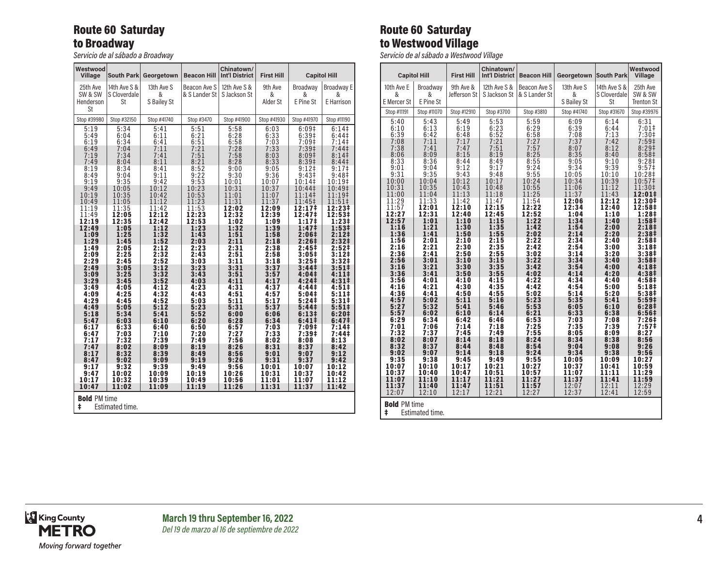## Route 60 Saturday to Broadway

*Servicio de al sábado a Broadway*

| Westwood<br>Village                                                                                                                                                                                                                                                                                                | South Park                                                                                                                                                                                                                                                                                                          | Georgetown                                                                                                                                                                                                                                                                                                          | <b>Beacon Hill</b>                                                                                                                                                                                                                                                                                                  | Chinatown/<br>Int'l District                                                                                                                                                                                                                                                                                        | <b>First Hill</b>                                                                                                                                                                                                                                                                                                    |                                                                                                                                                                                                                                                                                                                                                                                                                                                             | <b>Capitol Hill</b>                                                                                                                                                                                                                                                                                                                                                                                                                                                                                  |  |
|--------------------------------------------------------------------------------------------------------------------------------------------------------------------------------------------------------------------------------------------------------------------------------------------------------------------|---------------------------------------------------------------------------------------------------------------------------------------------------------------------------------------------------------------------------------------------------------------------------------------------------------------------|---------------------------------------------------------------------------------------------------------------------------------------------------------------------------------------------------------------------------------------------------------------------------------------------------------------------|---------------------------------------------------------------------------------------------------------------------------------------------------------------------------------------------------------------------------------------------------------------------------------------------------------------------|---------------------------------------------------------------------------------------------------------------------------------------------------------------------------------------------------------------------------------------------------------------------------------------------------------------------|----------------------------------------------------------------------------------------------------------------------------------------------------------------------------------------------------------------------------------------------------------------------------------------------------------------------|-------------------------------------------------------------------------------------------------------------------------------------------------------------------------------------------------------------------------------------------------------------------------------------------------------------------------------------------------------------------------------------------------------------------------------------------------------------|------------------------------------------------------------------------------------------------------------------------------------------------------------------------------------------------------------------------------------------------------------------------------------------------------------------------------------------------------------------------------------------------------------------------------------------------------------------------------------------------------|--|
| 25th Ave<br>SW & SW<br>Henderson<br>St                                                                                                                                                                                                                                                                             | 14th Ave S &<br>S Cloverdale<br>St                                                                                                                                                                                                                                                                                  | 13th Ave S<br>&<br>S Bailey St                                                                                                                                                                                                                                                                                      | Beacon Ave S<br>& S Lander St                                                                                                                                                                                                                                                                                       | 12th Ave S &<br>S Jackson St                                                                                                                                                                                                                                                                                        | 9th Ave<br>&<br>Alder St                                                                                                                                                                                                                                                                                             | Broadway<br>&<br>E Pine St                                                                                                                                                                                                                                                                                                                                                                                                                                  | <b>Broadway E</b><br>&<br>E Harrison                                                                                                                                                                                                                                                                                                                                                                                                                                                                 |  |
| Stop #39980                                                                                                                                                                                                                                                                                                        | Stop #32150                                                                                                                                                                                                                                                                                                         | Stop #41740                                                                                                                                                                                                                                                                                                         | Stop #3470                                                                                                                                                                                                                                                                                                          | Stop #41900                                                                                                                                                                                                                                                                                                         | Stop #41930                                                                                                                                                                                                                                                                                                          | Stop #41970                                                                                                                                                                                                                                                                                                                                                                                                                                                 | Stop #11190                                                                                                                                                                                                                                                                                                                                                                                                                                                                                          |  |
| 5:19<br>5:49<br>6:19<br>6:49<br>7:19<br>7:49<br>8:19<br>8:49<br>9:19<br>9:49<br>10:19<br>10:49<br>11:19<br>11:49<br>12:19<br>12:49<br>1:09<br>1:29<br>1:49<br>2:09<br>2:29<br>2:49<br>3:09<br>3:29<br>3:49<br>4:09<br>4:29<br>4:49<br>5:18<br>5:47<br>6:17<br>6:47<br>7:17<br>7:47<br>8:17<br>8:47<br>9:17<br>9:47 | 5:34<br>6:04<br>6:34<br>7:04<br>7:34<br>8:04<br>8:34<br>9:04<br>9:35<br>10:05<br>10:35<br>11:05<br>11:35<br>12:05<br>12:35<br>1:05<br>1:25<br>1:45<br>2:05<br>2:25<br>2:45<br>3:05<br>3:25<br>3:45<br>4:05<br>4:25<br>4:45<br>5:05<br>5:34<br>6:03<br>6:33<br>7:03<br>7:32<br>8:02<br>8:32<br>9:02<br>9:32<br>10:02 | 5:41<br>6:11<br>6:41<br>7:11<br>7:41<br>8:11<br>8:41<br>9:11<br>9:42<br>10:12<br>10:42<br>11:12<br>11:42<br>12:12<br>12:42<br>1:12<br>1:32<br>1:52<br>2:12<br>2:32<br>2:52<br>3:12<br>3:32<br>3:52<br>4:12<br>4:32<br>4:52<br>5:12<br>5:41<br>6:10<br>6:40<br>7:10<br>7:39<br>8:09<br>8:39<br>9:09<br>9:39<br>10:09 | 5:51<br>6:21<br>6:51<br>7:21<br>7:51<br>8:21<br>8:52<br>9:22<br>9:53<br>10:23<br>10:53<br>11:23<br>11:53<br>12:23<br>12:53<br>1:23<br>1:43<br>2:03<br>2:23<br>2:43<br>3:03<br>3:23<br>3:43<br>4:03<br>4:23<br>4:43<br>5:03<br>5:23<br>5:52<br>6:20<br>6:50<br>7:20<br>7:49<br>8:19<br>8:49<br>9:19<br>9:49<br>10:19 | 5:58<br>6:28<br>6:58<br>7:28<br>7:58<br>8:28<br>9:00<br>9:30<br>10:01<br>10:31<br>11:01<br>11:31<br>12:02<br>12:32<br>1:02<br>1:32<br>1:51<br>2:11<br>2:31<br>2:51<br>3:11<br>3:31<br>3:51<br>4:11<br>4:31<br>4:51<br>5:11<br>5:31<br>6:00<br>6:28<br>6:57<br>7:27<br>7:56<br>8:26<br>8:56<br>9:26<br>9:56<br>10:26 | 6:03<br>6:33<br>7:03<br>7:33<br>8:03<br>8:33<br>9:05<br>9:36<br>10:07<br>10:37<br>11:07<br>11:37<br>12:09<br>12:39<br>1:09<br>1:39<br>1:58<br>2:18<br>2:38<br>2:58<br>3:18<br>3:37<br>3:57<br>4:17<br>4:37<br>4:57<br>5:17<br>5:37<br>6:06<br>6:34<br>7:03<br>7:33<br>8:02<br>8:31<br>9:01<br>9:31<br>10:01<br>10:31 | 6:09#<br>6:39‡<br>$7:09$ ‡<br>7:39 <sup>‡</sup><br>8:09#<br>8:39 <sup>‡</sup><br>9:12<br>9:43 <sup>‡</sup><br>10:14‡<br>10:44‡<br>11:14‡<br>11:45‡<br>12:17‡<br>12:47‡<br>1:17 <sup>‡</sup><br>1:47 <sup>‡</sup><br>2:06‡<br>2:26 <sup>‡</sup><br>2:45 <sup>‡</sup><br>3:05 <sup>‡</sup><br>$3:25+$<br>3:44‡<br>4:04‡<br>4:24‡<br>4:44‡<br>5:04‡<br>$5:24$ ‡<br>5:44‡<br>6:13‡<br>6:41#<br>7:09‡<br>7:39#<br>8:08<br>8:37<br>9:07<br>9:37<br>10:07<br>10:37 | 6:14<br>$6:44\ddagger$<br>7:14<br>7:44 <sup>‡</sup><br>8:14<br>8:44 <sup>‡</sup><br>$9:17$ ‡<br>9:48 <sup>‡</sup><br>10:19‡<br>10:49‡<br>11:19‡<br>11:51‡<br>12:23‡<br>12:53‡<br>1:23‡<br>1:53‡<br>2:12 <sup>‡</sup><br>2:32‡<br>2:52 <sup>‡</sup><br>$3:12+$<br>3:32 <sup>‡</sup><br>$3:51+$<br>4:111<br>4:31 <sup>‡</sup><br>4:51#<br>5:111<br>5:31#<br>$5:51\ddagger$<br>6:20 <sup>‡</sup><br>6:47 <sup>‡</sup><br>$7:14+$<br>7:44 <sup>‡</sup><br>8:13<br>8:42<br>9:12<br>9:42<br>10:12<br>10:42 |  |
| 10:17<br>10:47                                                                                                                                                                                                                                                                                                     | 10:32<br>11:02                                                                                                                                                                                                                                                                                                      | 10:39<br>11:09                                                                                                                                                                                                                                                                                                      | 10:49<br>11:19                                                                                                                                                                                                                                                                                                      | 10:56<br>11:26                                                                                                                                                                                                                                                                                                      | 11:01<br>11:31                                                                                                                                                                                                                                                                                                       | 11:07<br>11:37                                                                                                                                                                                                                                                                                                                                                                                                                                              | 11:12<br>11:42                                                                                                                                                                                                                                                                                                                                                                                                                                                                                       |  |
| <b>Bold PM time</b><br>ŧ<br>Estimated time.                                                                                                                                                                                                                                                                        |                                                                                                                                                                                                                                                                                                                     |                                                                                                                                                                                                                                                                                                                     |                                                                                                                                                                                                                                                                                                                     |                                                                                                                                                                                                                                                                                                                     |                                                                                                                                                                                                                                                                                                                      |                                                                                                                                                                                                                                                                                                                                                                                                                                                             |                                                                                                                                                                                                                                                                                                                                                                                                                                                                                                      |  |

# Route 60 Saturday to Westwood Village

*Servicio de al sábado a Westwood Village*

| <b>Capitol Hill</b> |                 | <b>First Hill</b> | Chinatown/<br><b>Int'l District</b> | <b>Beacon Hill</b> | Georgetown     | <b>South Park</b> | Westwood<br><b>Village</b>             |
|---------------------|-----------------|-------------------|-------------------------------------|--------------------|----------------|-------------------|----------------------------------------|
| 10th Ave E          | Broadway        | 9th Ave &         | 12th Ave S &                        | Beacon Ave S       | 13th Ave S     | 14th Ave S &      | 25th Ave                               |
| &                   | &               | Jefferson St      | S Jackson St                        | & S Lander St      | &              | S Cloverdale      | SW & SW                                |
| E Mercer St         | E Pine St       |                   |                                     |                    | S Bailey St    | St                | <b>Trenton St</b>                      |
| Stop #11191         | Stop #11070     | Stop #12910       | Stop #3700                          | Stop #3810         | Stop #41740    | Stop #31670       | Stop #39976                            |
| 5:40                | 5:43            | 5:49              | 5:53                                | 5:59               | 6:09           | 6:14              | 6:31                                   |
| 6:10<br>6:39        | 6:13<br>6:42    | 6:19<br>6:48      | 6:23<br>6:52                        | 6:29<br>6:58       | 6:39<br>7:08   | 6:44<br>7:13      | 7:01<br>$7:30+$                        |
| 7:08                | 7:11            | 7:17              | 7:21                                | 7:27               | 7:37           | 7:42              | 7:59‡                                  |
| 7:38                | 7:41            | 7:47              | 7:51                                | 7:57               | 8:07           | 8:12              | 8:29 <sup>‡</sup>                      |
| 8:06                | 8:09            | 8:15              | 8:19                                | 8:25               | 8:35           | 8:40              | 8:58 <sup>‡</sup>                      |
| 8:33<br>9:01        | 8:36<br>9:04    | 8:44<br>9:12      | 8:49<br>9:17                        | 8:55<br>9:24       | 9:05<br>9:34   | 9:10<br>9:39      | 9:28 <sup>‡</sup><br>9:57 <sup>‡</sup> |
| 9:31                | 9:35            | 9:43              | 9:48                                | 9:55               | 10:05          | 10:10             | 10:28‡                                 |
| 10:00               | 10:04           | 10:12             | 10:17                               | 10:24              | 10:34          | 10:39             | 10:57‡                                 |
| 10:31               | 10:35           | 10:43             | 10:48                               | 10:55              | 11:06          | 11:12             | 11:30‡                                 |
| 11:00<br>11:29      | 11:04<br>11:33  | 11:13<br>11:42    | 11:18<br>11:47                      | 11:25<br>11:54     | 11:37<br>12:06 | 11:43<br>12:12    | 12:01‡<br>12:30‡                       |
| 11:57               | 12:01           | 12:10             | 12:15                               | 12:22              | 12:34          | 12:40             | 12:58‡                                 |
| 12:27               | 12:31           | 12:40             | 12:45                               | 12:52              | 1:04           | 1:10              | 1:28‡                                  |
| 12:57<br>1:16       | 1:01<br>1:21    | 1:10<br>1:30      | 1:15<br>1:35                        | 1:22<br>1:42       | 1:34<br>1:54   | 1:40<br>2:00      | 1:58‡<br>2:18‡                         |
| 1:36                | 1:41            | 1:50              | 1:55                                | 2:02               | 2:14           | 2:20              | 2:38‡                                  |
| 1:56                | 2:01            | 2:10              | 2:15                                | 2:22               | 2:34           | 2:40              | 2:58‡                                  |
| 2:16<br>2:36        | 2:21<br>2:41    | 2:30<br>2:50      | 2:35<br>2:55                        | 2:42<br>3:02       | 2:54<br>3:14   | 3:00<br>3:20      | 3:18‡<br>3:38 <sup>‡</sup>             |
| 2:56                | 3:01            | 3:10              | 3:15                                | 3:22               | 3:34           | 3:40              | 3:58‡                                  |
| 3:16                | 3:21            | 3:30              | 3:35                                | 3:42               | 3:54           | 4:00              | 4:18‡                                  |
| 3:36                | 3:41            | 3:50              | 3:55                                | 4:02               | 4:14           | 4:20              | 4:38‡                                  |
| 3:56<br>4:16        | 4:01<br>4:21    | 4:10<br>4:30      | 4:15<br>4:35                        | 4:22<br>4:42       | 4:34<br>4:54   | 4:40<br>5:00      | 4:58‡<br>5:18‡                         |
| 4:36                | 4:41            | 4:50              | 4:55                                | 5:02               | 5:14           | 5:20              | 5:38‡                                  |
| 4:57                | 5:02            | 5:11              | 5:16                                | 5:23               | 5:35           | 5:41              | 5:59 <sup>‡</sup>                      |
| 5:27<br>5:57        | 5:32<br>6:02    | 5:41<br>6:10      | 5:46<br>6:14                        | 5:53<br>6:21       | 6:05<br>6:33   | 6:10<br>6:38      | 6:28‡<br>6:56‡                         |
| 6:29                | 6:34            | 6:42              | 6:46                                | 6:53               | 7:03           | 7:08              | 7:26‡                                  |
| 7:01                | 7:06            | 7:14              | 7:18                                | 7:25               | 7:35           | 7:39              | 7:57‡                                  |
| 7:32                | 7:37            | 7:45<br>8:14      | 7:49<br>8:18                        | 7:55<br>8:24       | 8:05           | 8:09<br>8:38      | 8:27                                   |
| 8:02<br>8:32        | 8:07<br>8:37    | 8:44              | 8:48                                | 8:54               | 8:34<br>9:04   | 9:08              | 8:56<br>9:26                           |
| 9:02                | 9:07            | 9:14              | 9:18                                | 9:24               | 9:34           | 9:38              | 9:56                                   |
| 9:35                | 9:38            | 9:45              | 9:49                                | 9:55               | 10:05          | 10:09             | 10:27                                  |
| 10:07<br>10:37      | 10:10<br>10:40  | 10:17<br>10:47    | 10:21<br>10:51                      | 10:27<br>10:57     | 10:37<br>11:07 | 10:41<br>11:11    | 10:59<br>11:29                         |
| 11:07               | 11:10           | 11:17             | 11:21                               | 11:27              | 11:37          | 11:41             | 11:59                                  |
| 11:37               | 11:40           | 11:47             | 11:51                               | 11:57              | 12:07          | 12:11             | 12:29                                  |
| 12:07               | 12:10           | 12:17             | 12:21                               | 12:27              | 12:37          | 12:41             | 12:59                                  |
| <b>Bold PM time</b> |                 |                   |                                     |                    |                |                   |                                        |
| ŧ                   | Estimated time. |                   |                                     |                    |                |                   |                                        |